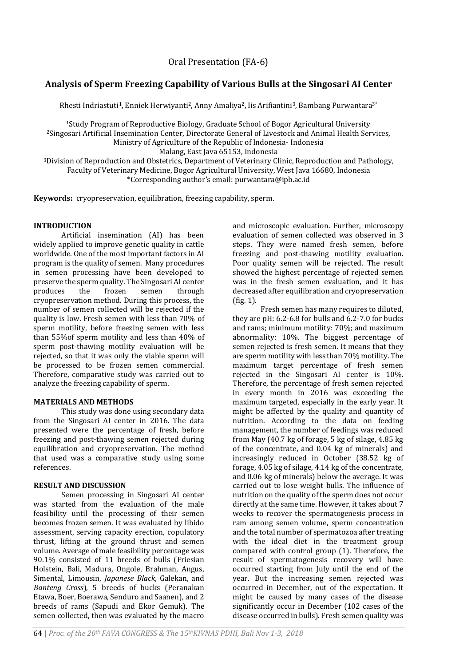# **Analysis of Sperm Freezing Capability of Various Bulls at the Singosari AI Center**

Rhesti Indriastuti<sup>1</sup>, Enniek Herwiyanti<sup>2</sup>, Anny Amaliya<sup>2</sup>, Iis Arifiantini<sup>3</sup>, Bambang Purwantara<sup>3\*</sup>

<sup>1</sup>Study Program of Reproductive Biology, Graduate School of Bogor Agricultural University <sup>2</sup>Singosari Artificial Insemination Center, Directorate General of Livestock and Animal Health Services, Ministry of Agriculture of the Republic of Indonesia- Indonesia

Malang, East Java 65153, Indonesia

<sup>3</sup>Division of Reproduction and Obstetrics, Department of Veterinary Clinic, Reproduction and Pathology, Faculty of Veterinary Medicine, Bogor Agricultural University, West Java 16680, Indonesia \*Corresponding author's email: purwantara@ipb.ac.id

**Keywords:** cryopreservation, equilibration, freezing capability, sperm.

#### **INTRODUCTION**

Artificial insemination (AI) has been widely applied to improve genetic quality in cattle worldwide. One of the most important factors in AI program is the quality of semen. Many procedures in semen processing have been developed to preserve the sperm quality. The Singosari AI center produces the frozen semen through cryopreservation method. During this process, the number of semen collected will be rejected if the quality is low. Fresh semen with less than 70% of sperm motility, before freezing semen with less than 55%of sperm motility and less than 40% of sperm post-thawing motility evaluation will be rejected, so that it was only the viable sperm will be processed to be frozen semen commercial. Therefore, comparative study was carried out to analyze the freezing capability of sperm.

#### **MATERIALS AND METHODS**

This study was done using secondary data from the Singosari AI center in 2016. The data presented were the percentage of fresh, before freezing and post-thawing semen rejected during equilibration and cryopreservation. The method that used was a comparative study using some references.

# **RESULT AND DISCUSSION**

Semen processing in Singosari AI center was started from the evaluation of the male feasibility until the processing of their semen becomes frozen semen. It was evaluated by libido assessment, serving capacity erection, copulatory thrust, lifting at the ground thrust and semen volume. Average of male feasibility percentage was 90.1% consisted of 11 breeds of bulls (Friesian Holstein, Bali, Madura, Ongole, Brahman, Angus, Simental, Limousin, *Japanese Black*, Galekan, and *Banteng Cross*), 5 breeds of bucks (Peranakan Etawa, Boer, Boerawa, Senduro and Saanen), and 2 breeds of rams (Sapudi and Ekor Gemuk). The semen collected, then was evaluated by the macro

and microscopic evaluation. Further, microscopy evaluation of semen collected was observed in 3 steps. They were named fresh semen, before freezing and post-thawing motility evaluation. Poor quality semen will be rejected. The result showed the highest percentage of rejected semen was in the fresh semen evaluation, and it has decreased after equilibration and cryopreservation (fig. 1).

Fresh semen has many requires to diluted, they are pH: 6.2-6.8 for bulls and 6.2-7.0 for bucks and rams; minimum motility: 70%; and maximum abnormality: 10%. The biggest percentage of semen rejected is fresh semen. It means that they are sperm motility with less than 70% motility. The maximum target percentage of fresh semen rejected in the Singosari AI center is 10%. Therefore, the percentage of fresh semen rejected in every month in 2016 was exceeding the maximum targeted, especially in the early year. It might be affected by the quality and quantity of nutrition. According to the data on feeding management, the number of feedings was reduced from May (40.7 kg of forage, 5 kg of silage, 4.85 kg of the concentrate, and 0.04 kg of minerals) and increasingly reduced in October (38.52 kg of forage, 4.05 kg of silage, 4.14 kg of the concentrate, and 0.06 kg of minerals) below the average. It was carried out to lose weight bulls. The influence of nutrition on the quality of the sperm does not occur directly at the same time. However, it takes about 7 weeks to recover the spermatogenesis process in ram among semen volume, sperm concentration and the total number of spermatozoa after treating with the ideal diet in the treatment group compared with control group (1). Therefore, the result of spermatogenesis recovery will have occurred starting from July until the end of the year. But the increasing semen rejected was occurred in December, out of the expectation. It might be caused by many cases of the disease significantly occur in December (102 cases of the disease occurred in bulls). Fresh semen quality was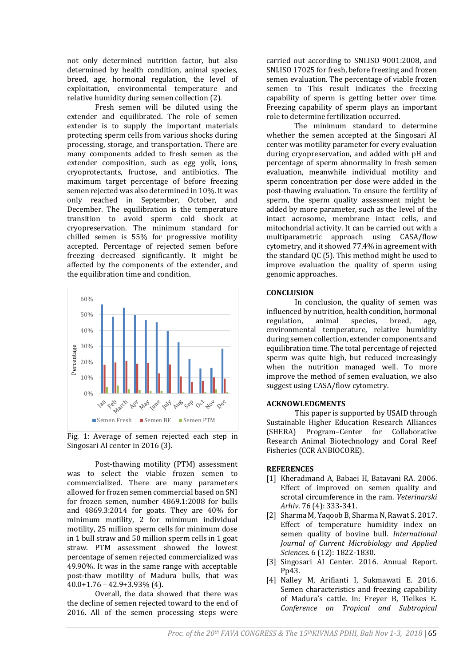not only determined nutrition factor, but also determined by health condition, animal species, breed, age, hormonal regulation, the level of exploitation, environmental temperature and relative humidity during semen collection (2).

Fresh semen will be diluted using the extender and equilibrated. The role of semen extender is to supply the important materials protecting sperm cells from various shocks during processing, storage, and transportation. There are many components added to fresh semen as the extender composition, such as egg yolk, ions, cryoprotectants, fructose, and antibiotics. The maximum target percentage of before freezing semen rejected was also determined in 10%. It was only reached in September, October, and December. The equilibration is the temperature transition to avoid sperm cold shock at cryopreservation. The minimum standard for chilled semen is 55% for progressive motility accepted. Percentage of rejected semen before freezing decreased significantly. It might be affected by the components of the extender, and the equilibration time and condition.



Fig. 1: Average of semen rejected each step in Singosari AI center in 2016 (3).

Post-thawing motility (PTM) assessment was to select the viable frozen semen to commercialized. There are many parameters allowed for frozen semen commercial based on SNI for frozen semen, number 4869.1:2008 for bulls and 4869.3:2014 for goats. They are 40% for minimum motility, 2 for minimum individual motility, 25 million sperm cells for minimum dose in 1 bull straw and 50 million sperm cells in 1 goat straw. PTM assessment showed the lowest percentage of semen rejected commercialized was 49.90%. It was in the same range with acceptable post-thaw motility of Madura bulls, that was  $40.0+1.76 - 42.9+3.93\%$  (4).

Overall, the data showed that there was the decline of semen rejected toward to the end of 2016. All of the semen processing steps were

carried out according to SNI.ISO 9001:2008, and SNI.ISO 17025 for fresh, before freezing and frozen semen evaluation. The percentage of viable frozen semen to This result indicates the freezing capability of sperm is getting better over time. Freezing capability of sperm plays an important role to determine fertilization occurred.

The minimum standard to determine whether the semen accepted at the Singosari AI center was motility parameter for every evaluation during cryopreservation, and added with pH and percentage of sperm abnormality in fresh semen evaluation, meanwhile individual motility and sperm concentration per dose were added in the post-thawing evaluation. To ensure the fertility of sperm, the sperm quality assessment might be added by more parameter, such as the level of the intact acrosome, membrane intact cells, and mitochondrial activity. It can be carried out with a multiparametric approach using CASA/flow cytometry, and it showed 77.4% in agreement with the standard QC (5). This method might be used to improve evaluation the quality of sperm using genomic approaches.

#### **CONCLUSION**

In conclusion, the quality of semen was influenced by nutrition, health condition, hormonal regulation, animal species, breed, age, environmental temperature, relative humidity during semen collection, extender components and equilibration time. The total percentage of rejected sperm was quite high, but reduced increasingly when the nutrition managed well. To more improve the method of semen evaluation, we also suggest using CASA/flow cytometry.

# **ACKNOWLEDGMENTS**

This paper is supported by USAID through Sustainable Higher Education Research Alliances (SHERA) Program–Center for Collaborative Research Animal Biotechnology and Coral Reef Fisheries (CCR ANBIOCORE).

# **REFERENCES**

- [1] Kheradmand A, Babaei H, Batavani RA. 2006. Effect of improved on semen quality and scrotal circumference in the ram. *Veterinarski Arhiv*. 76 (4): 333-341.
- [2] Sharma M, Yaqoob B, Sharma N, Rawat S. 2017. Effect of temperature humidity index on semen quality of bovine bull. *International Journal of Current Microbiology and Applied Sciences*. 6 (12): 1822-1830.
- [3] Singosari AI Center. 2016. Annual Report. Pp43.
- [4] Nalley M, Arifianti I, Sukmawati E. 2016. Semen characteristics and freezing capability of Madura's cattle. In: Freyer B, Tielkes E. *Conference on Tropical and Subtropical*